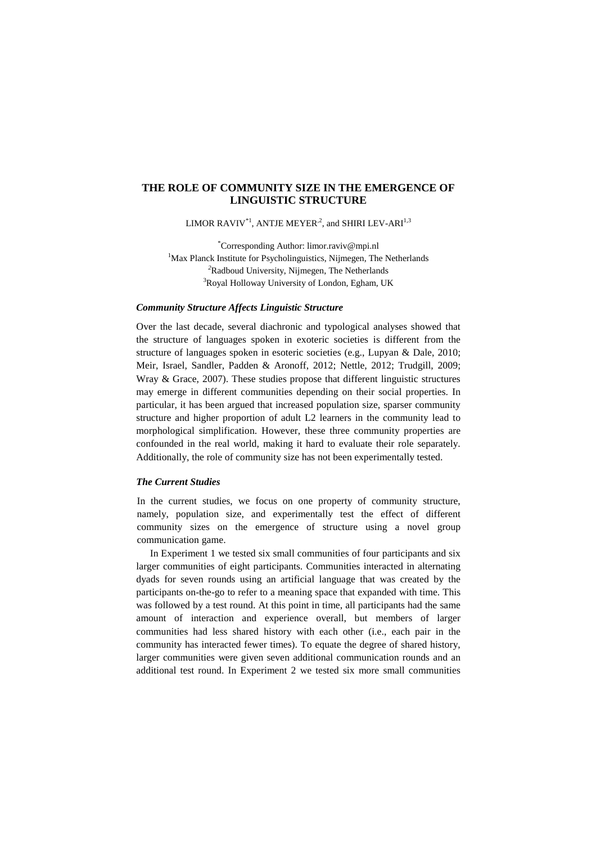# **THE ROLE OF COMMUNITY SIZE IN THE EMERGENCE OF LINGUISTIC STRUCTURE**

LIMOR  $\mathrm{RAVIV}^{*1}, \mathrm{ANTJE}\ \mathrm{MEYER}^{.2},$  and  $\mathrm{SHIRI}\ \mathrm{LEV-ARI}^{1,3}$ 

\*Corresponding Author: limor.raviv@mpi.nl <sup>1</sup>Max Planck Institute for Psycholinguistics, Nijmegen, The Netherlands *<sup>2</sup>*Radboud University, Nijmegen, The Netherlands <sup>3</sup>Royal Holloway University of London, Egham, UK

### *Community Structure Affects Linguistic Structure*

Over the last decade, several diachronic and typological analyses showed that the structure of languages spoken in exoteric societies is different from the structure of languages spoken in esoteric societies (e.g., Lupyan & Dale, 2010; Meir, Israel, Sandler, Padden & Aronoff, 2012; Nettle, 2012; Trudgill, 2009; Wray & Grace, 2007). These studies propose that different linguistic structures may emerge in different communities depending on their social properties. In particular, it has been argued that increased population size, sparser community structure and higher proportion of adult L2 learners in the community lead to morphological simplification. However, these three community properties are confounded in the real world, making it hard to evaluate their role separately. Additionally, the role of community size has not been experimentally tested.

## *The Current Studies*

In the current studies, we focus on one property of community structure, namely, population size, and experimentally test the effect of different community sizes on the emergence of structure using a novel group communication game.

In Experiment 1 we tested six small communities of four participants and six larger communities of eight participants. Communities interacted in alternating dyads for seven rounds using an artificial language that was created by the participants on-the-go to refer to a meaning space that expanded with time. This was followed by a test round. At this point in time, all participants had the same amount of interaction and experience overall, but members of larger communities had less shared history with each other (i.e., each pair in the community has interacted fewer times). To equate the degree of shared history, larger communities were given seven additional communication rounds and an additional test round. In Experiment 2 we tested six more small communities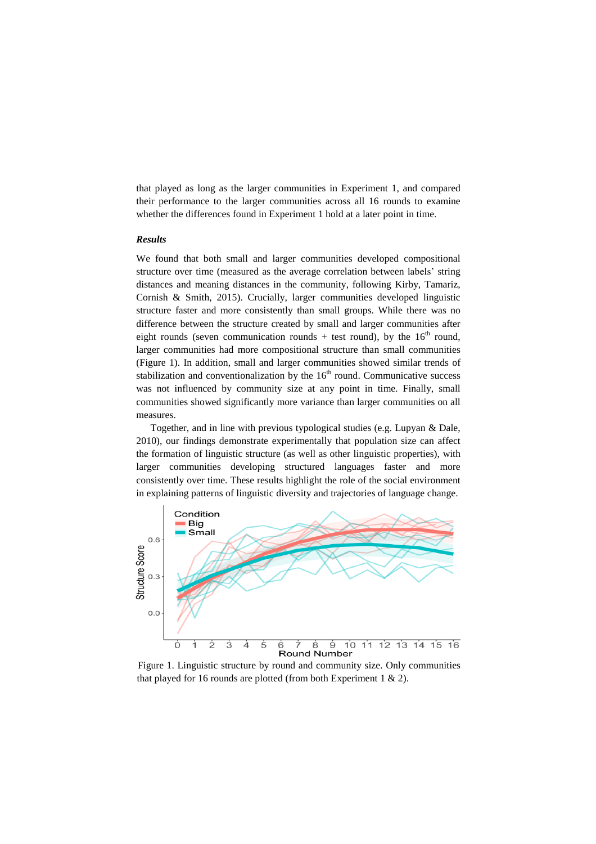that played as long as the larger communities in Experiment 1, and compared their performance to the larger communities across all 16 rounds to examine whether the differences found in Experiment 1 hold at a later point in time.

# *Results*

We found that both small and larger communities developed compositional structure over time (measured as the average correlation between labels' string distances and meaning distances in the community, following Kirby, Tamariz, Cornish & Smith, 2015). Crucially, larger communities developed linguistic structure faster and more consistently than small groups. While there was no difference between the structure created by small and larger communities after eight rounds (seven communication rounds + test round), by the  $16<sup>th</sup>$  round, larger communities had more compositional structure than small communities (Figure 1). In addition, small and larger communities showed similar trends of stabilization and conventionalization by the  $16<sup>th</sup>$  round. Communicative success was not influenced by community size at any point in time. Finally, small communities showed significantly more variance than larger communities on all measures.

Together, and in line with previous typological studies (e.g. Lupyan & Dale, 2010), our findings demonstrate experimentally that population size can affect the formation of linguistic structure (as well as other linguistic properties), with larger communities developing structured languages faster and more consistently over time. These results highlight the role of the social environment in explaining patterns of linguistic diversity and trajectories of language change.



Figure 1. Linguistic structure by round and community size. Only communities that played for 16 rounds are plotted (from both Experiment 1  $\&$  2).